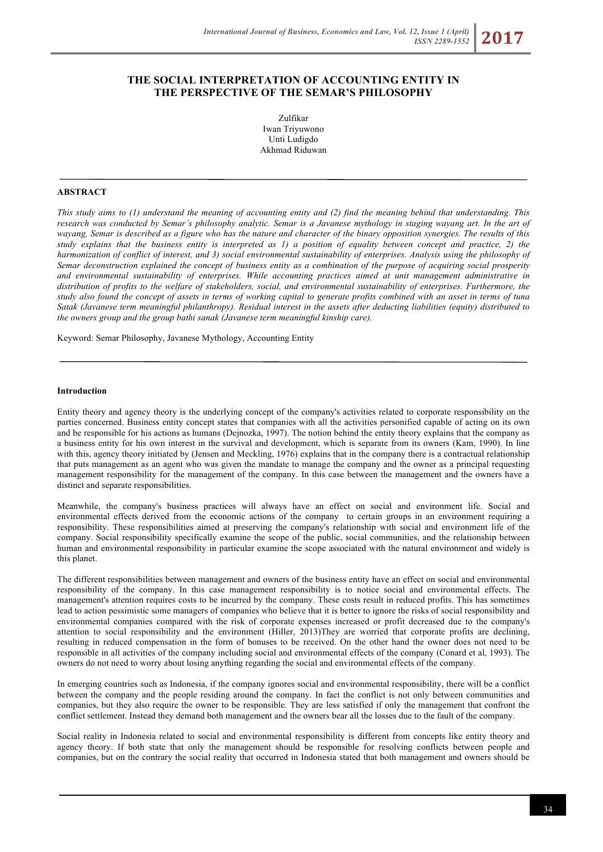# **THE SOCIAL INTERPRETATION OF ACCOUNTING ENTITY IN THE PERSPECTIVE OF THE SEMAR'S PHILOSOPHY**

Zulfikar Iwan Triyuwono Unti Ludigdo Akhmad Riduwan

## **ABSTRACT**

*This study aims to (1) understand the meaning of accounting entity and (2) find the meaning behind that understanding. This research was conducted by Semar's philosophy analytic. Semar is a Javanese mythology in staging wayang art. In the art of wayang, Semar is described as a figure who has the nature and character of the binary opposition synergies. The results of this study explains that the business entity is interpreted as 1) a position of equality between concept and practice, 2) the harmonization of conflict of interest, and 3) social environmental sustainability of enterprises. Analysis using the philosophy of Semar deconstruction explained the concept of business entity as a combination of the purpose of acquiring social prosperity and environmental sustainability of enterprises. While accounting practices aimed at unit management administrative in distribution of profits to the welfare of stakeholders, social, and environmental sustainability of enterprises. Furthermore, the study also found the concept of assets in terms of working capital to generate profits combined with an asset in terms of tuna Satak (Javanese term meaningful philanthropy). Residual interest in the assets after deducting liabilities (equity) distributed to the owners group and the group bathi sanak (Javanese term meaningful kinship care).*

Keyword: Semar Philosophy, Javanese Mythology, Accounting Entity

#### **Introduction**

Entity theory and agency theory is the underlying concept of the company's activities related to corporate responsibility on the parties concerned. Business entity concept states that companies with all the activities personified capable of acting on its own and be responsible for his actions as humans (Dejnozka, 1997). The notion behind the entity theory explains that the company as a business entity for his own interest in the survival and development, which is separate from its owners (Kam, 1990). In line with this, agency theory initiated by (Jensen and Meckling, 1976) explains that in the company there is a contractual relationship that puts management as an agent who was given the mandate to manage the company and the owner as a principal requesting management responsibility for the management of the company. In this case between the management and the owners have a distinct and separate responsibilities.

Meanwhile, the company's business practices will always have an effect on social and environment life. Social and environmental effects derived from the economic actions of the company to certain groups in an environment requiring a responsibility. These responsibilities aimed at preserving the company's relationship with social and environment life of the company. Social responsibility specifically examine the scope of the public, social communities, and the relationship between human and environmental responsibility in particular examine the scope associated with the natural environment and widely is this planet.

The different responsibilities between management and owners of the business entity have an effect on social and environmental responsibility of the company. In this case management responsibility is to notice social and environmental effects. The management's attention requires costs to be incurred by the company. These costs result in reduced profits. This has sometimes lead to action pessimistic some managers of companies who believe that it is better to ignore the risks of social responsibility and environmental companies compared with the risk of corporate expenses increased or profit decreased due to the company's attention to social responsibility and the environment (Hiller, 2013)They are worried that corporate profits are declining, resulting in reduced compensation in the form of bonuses to be received. On the other hand the owner does not need to be responsible in all activities of the company including social and environmental effects of the company (Conard et al, 1993). The owners do not need to worry about losing anything regarding the social and environmental effects of the company.

In emerging countries such as Indonesia, if the company ignores social and environmental responsibility, there will be a conflict between the company and the people residing around the company. In fact the conflict is not only between communities and companies, but they also require the owner to be responsible. They are less satisfied if only the management that confront the conflict settlement. Instead they demand both management and the owners bear all the losses due to the fault of the company.

Social reality in Indonesia related to social and environmental responsibility is different from concepts like entity theory and agency theory. If both state that only the management should be responsible for resolving conflicts between people and companies, but on the contrary the social reality that occurred in Indonesia stated that both management and owners should be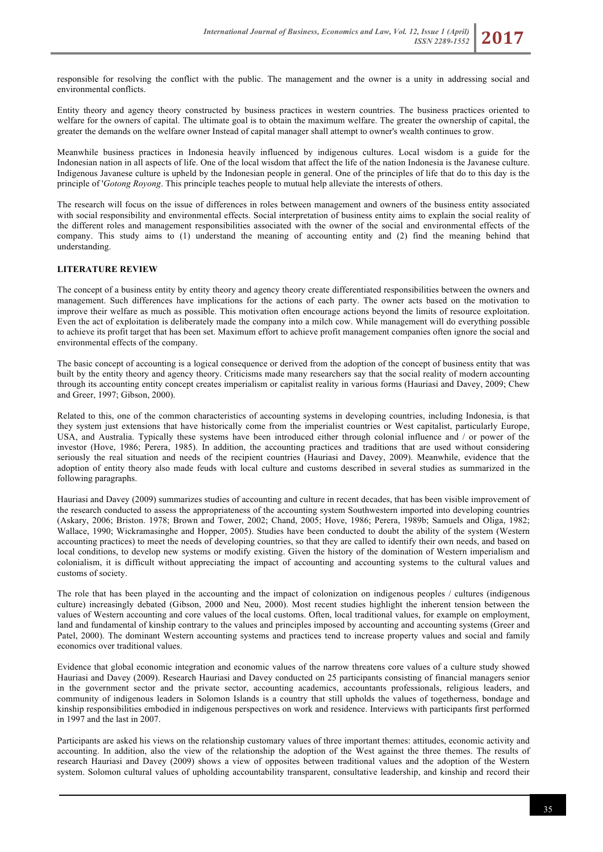responsible for resolving the conflict with the public. The management and the owner is a unity in addressing social and environmental conflicts.

Entity theory and agency theory constructed by business practices in western countries. The business practices oriented to welfare for the owners of capital. The ultimate goal is to obtain the maximum welfare. The greater the ownership of capital, the greater the demands on the welfare owner Instead of capital manager shall attempt to owner's wealth continues to grow.

Meanwhile business practices in Indonesia heavily influenced by indigenous cultures. Local wisdom is a guide for the Indonesian nation in all aspects of life. One of the local wisdom that affect the life of the nation Indonesia is the Javanese culture. Indigenous Javanese culture is upheld by the Indonesian people in general. One of the principles of life that do to this day is the principle of '*Gotong Royong*. This principle teaches people to mutual help alleviate the interests of others.

The research will focus on the issue of differences in roles between management and owners of the business entity associated with social responsibility and environmental effects. Social interpretation of business entity aims to explain the social reality of the different roles and management responsibilities associated with the owner of the social and environmental effects of the company. This study aims to (1) understand the meaning of accounting entity and (2) find the meaning behind that understanding.

# **LITERATURE REVIEW**

The concept of a business entity by entity theory and agency theory create differentiated responsibilities between the owners and management. Such differences have implications for the actions of each party. The owner acts based on the motivation to improve their welfare as much as possible. This motivation often encourage actions beyond the limits of resource exploitation. Even the act of exploitation is deliberately made the company into a milch cow. While management will do everything possible to achieve its profit target that has been set. Maximum effort to achieve profit management companies often ignore the social and environmental effects of the company.

The basic concept of accounting is a logical consequence or derived from the adoption of the concept of business entity that was built by the entity theory and agency theory. Criticisms made many researchers say that the social reality of modern accounting through its accounting entity concept creates imperialism or capitalist reality in various forms (Hauriasi and Davey, 2009; Chew and Greer, 1997; Gibson, 2000).

Related to this, one of the common characteristics of accounting systems in developing countries, including Indonesia, is that they system just extensions that have historically come from the imperialist countries or West capitalist, particularly Europe, USA, and Australia. Typically these systems have been introduced either through colonial influence and / or power of the investor (Hove, 1986; Perera, 1985). In addition, the accounting practices and traditions that are used without considering seriously the real situation and needs of the recipient countries (Hauriasi and Davey, 2009). Meanwhile, evidence that the adoption of entity theory also made feuds with local culture and customs described in several studies as summarized in the following paragraphs.

Hauriasi and Davey (2009) summarizes studies of accounting and culture in recent decades, that has been visible improvement of the research conducted to assess the appropriateness of the accounting system Southwestern imported into developing countries (Askary, 2006; Briston. 1978; Brown and Tower, 2002; Chand, 2005; Hove, 1986; Perera, 1989b; Samuels and Oliga, 1982; Wallace, 1990; Wickramasinghe and Hopper, 2005). Studies have been conducted to doubt the ability of the system (Western accounting practices) to meet the needs of developing countries, so that they are called to identify their own needs, and based on local conditions, to develop new systems or modify existing. Given the history of the domination of Western imperialism and colonialism, it is difficult without appreciating the impact of accounting and accounting systems to the cultural values and customs of society.

The role that has been played in the accounting and the impact of colonization on indigenous peoples / cultures (indigenous culture) increasingly debated (Gibson, 2000 and Neu, 2000). Most recent studies highlight the inherent tension between the values of Western accounting and core values of the local customs. Often, local traditional values, for example on employment, land and fundamental of kinship contrary to the values and principles imposed by accounting and accounting systems (Greer and Patel, 2000). The dominant Western accounting systems and practices tend to increase property values and social and family economics over traditional values.

Evidence that global economic integration and economic values of the narrow threatens core values of a culture study showed Hauriasi and Davey (2009). Research Hauriasi and Davey conducted on 25 participants consisting of financial managers senior in the government sector and the private sector, accounting academics, accountants professionals, religious leaders, and community of indigenous leaders in Solomon Islands is a country that still upholds the values of togetherness, bondage and kinship responsibilities embodied in indigenous perspectives on work and residence. Interviews with participants first performed in 1997 and the last in 2007.

Participants are asked his views on the relationship customary values of three important themes: attitudes, economic activity and accounting. In addition, also the view of the relationship the adoption of the West against the three themes. The results of research Hauriasi and Davey (2009) shows a view of opposites between traditional values and the adoption of the Western system. Solomon cultural values of upholding accountability transparent, consultative leadership, and kinship and record their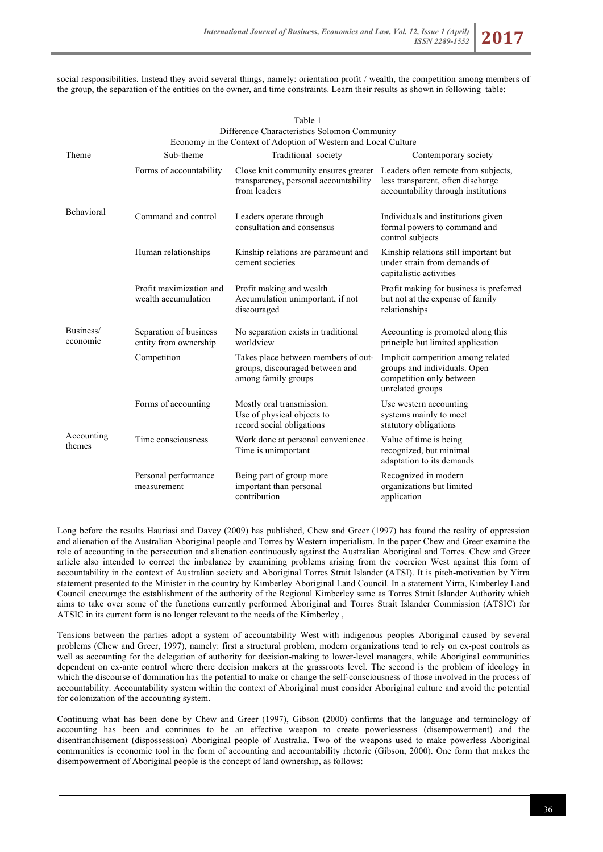social responsibilities. Instead they avoid several things, namely: orientation profit / wealth, the competition among members of the group, the separation of the entities on the owner, and time constraints. Learn their results as shown in following table:

|                       | Table 1<br>Difference Characteristics Solomon Community<br>Economy in the Context of Adoption of Western and Local Culture |                                                                                               |                                                                                                                    |  |  |
|-----------------------|----------------------------------------------------------------------------------------------------------------------------|-----------------------------------------------------------------------------------------------|--------------------------------------------------------------------------------------------------------------------|--|--|
|                       |                                                                                                                            |                                                                                               |                                                                                                                    |  |  |
| Theme                 | Sub-theme                                                                                                                  | Traditional society                                                                           | Contemporary society                                                                                               |  |  |
| <b>Behavioral</b>     | Forms of accountability                                                                                                    | Close knit community ensures greater<br>transparency, personal accountability<br>from leaders | Leaders often remote from subjects,<br>less transparent, often discharge<br>accountability through institutions    |  |  |
|                       | Command and control                                                                                                        | Leaders operate through<br>consultation and consensus                                         | Individuals and institutions given<br>formal powers to command and<br>control subjects                             |  |  |
|                       | Human relationships                                                                                                        | Kinship relations are paramount and<br>cement societies                                       | Kinship relations still important but<br>under strain from demands of<br>capitalistic activities                   |  |  |
| Business/<br>economic | Profit maximization and<br>wealth accumulation                                                                             | Profit making and wealth<br>Accumulation unimportant, if not<br>discouraged                   | Profit making for business is preferred<br>but not at the expense of family<br>relationships                       |  |  |
|                       | Separation of business<br>entity from ownership                                                                            | No separation exists in traditional<br>worldview                                              | Accounting is promoted along this<br>principle but limited application                                             |  |  |
|                       | Competition                                                                                                                | Takes place between members of out-<br>groups, discouraged between and<br>among family groups | Implicit competition among related<br>groups and individuals. Open<br>competition only between<br>unrelated groups |  |  |
| Accounting<br>themes  | Forms of accounting                                                                                                        | Mostly oral transmission.<br>Use of physical objects to<br>record social obligations          | Use western accounting<br>systems mainly to meet<br>statutory obligations                                          |  |  |
|                       | Time consciousness                                                                                                         | Work done at personal convenience.<br>Time is unimportant                                     | Value of time is being.<br>recognized, but minimal<br>adaptation to its demands                                    |  |  |
|                       | Personal performance<br>measurement                                                                                        | Being part of group more<br>important than personal<br>contribution                           | Recognized in modern<br>organizations but limited<br>application                                                   |  |  |

Long before the results Hauriasi and Davey (2009) has published, Chew and Greer (1997) has found the reality of oppression and alienation of the Australian Aboriginal people and Torres by Western imperialism. In the paper Chew and Greer examine the role of accounting in the persecution and alienation continuously against the Australian Aboriginal and Torres. Chew and Greer article also intended to correct the imbalance by examining problems arising from the coercion West against this form of accountability in the context of Australian society and Aboriginal Torres Strait Islander (ATSI). It is pitch-motivation by Yirra statement presented to the Minister in the country by Kimberley Aboriginal Land Council. In a statement Yirra, Kimberley Land Council encourage the establishment of the authority of the Regional Kimberley same as Torres Strait Islander Authority which aims to take over some of the functions currently performed Aboriginal and Torres Strait Islander Commission (ATSIC) for ATSIC in its current form is no longer relevant to the needs of the Kimberley ,

Tensions between the parties adopt a system of accountability West with indigenous peoples Aboriginal caused by several problems (Chew and Greer, 1997), namely: first a structural problem, modern organizations tend to rely on ex-post controls as well as accounting for the delegation of authority for decision-making to lower-level managers, while Aboriginal communities dependent on ex-ante control where there decision makers at the grassroots level. The second is the problem of ideology in which the discourse of domination has the potential to make or change the self-consciousness of those involved in the process of accountability. Accountability system within the context of Aboriginal must consider Aboriginal culture and avoid the potential for colonization of the accounting system.

Continuing what has been done by Chew and Greer (1997), Gibson (2000) confirms that the language and terminology of accounting has been and continues to be an effective weapon to create powerlessness (disempowerment) and the disenfranchisement (dispossession) Aboriginal people of Australia. Two of the weapons used to make powerless Aboriginal communities is economic tool in the form of accounting and accountability rhetoric (Gibson, 2000). One form that makes the disempowerment of Aboriginal people is the concept of land ownership, as follows: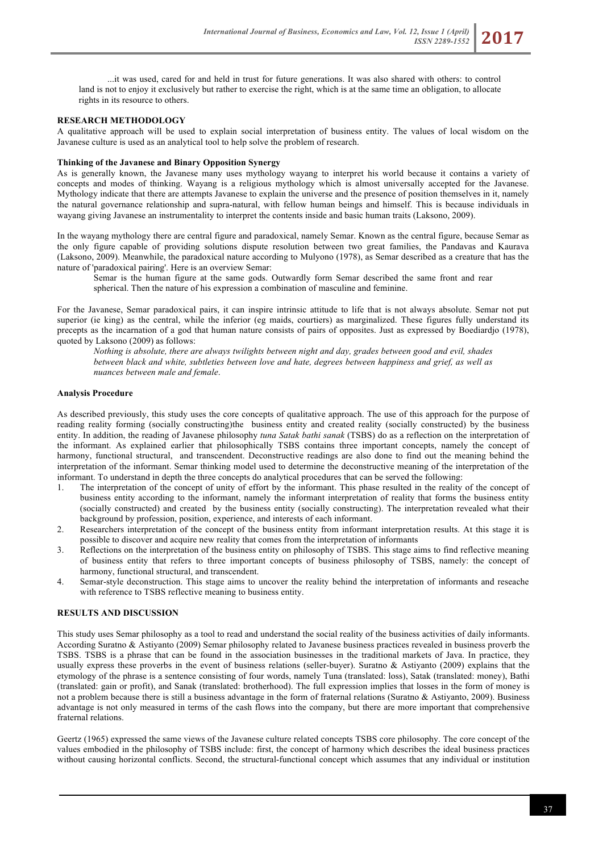...it was used, cared for and held in trust for future generations. It was also shared with others: to control land is not to enjoy it exclusively but rather to exercise the right, which is at the same time an obligation, to allocate rights in its resource to others.

# **RESEARCH METHODOLOGY**

A qualitative approach will be used to explain social interpretation of business entity. The values of local wisdom on the Javanese culture is used as an analytical tool to help solve the problem of research.

# **Thinking of the Javanese and Binary Opposition Synergy**

As is generally known, the Javanese many uses mythology wayang to interpret his world because it contains a variety of concepts and modes of thinking. Wayang is a religious mythology which is almost universally accepted for the Javanese. Mythology indicate that there are attempts Javanese to explain the universe and the presence of position themselves in it, namely the natural governance relationship and supra-natural, with fellow human beings and himself. This is because individuals in wayang giving Javanese an instrumentality to interpret the contents inside and basic human traits (Laksono, 2009).

In the wayang mythology there are central figure and paradoxical, namely Semar. Known as the central figure, because Semar as the only figure capable of providing solutions dispute resolution between two great families, the Pandavas and Kaurava (Laksono, 2009). Meanwhile, the paradoxical nature according to Mulyono (1978), as Semar described as a creature that has the nature of 'paradoxical pairing'. Here is an overview Semar:

Semar is the human figure at the same gods. Outwardly form Semar described the same front and rear spherical. Then the nature of his expression a combination of masculine and feminine.

For the Javanese, Semar paradoxical pairs, it can inspire intrinsic attitude to life that is not always absolute. Semar not put superior (ie king) as the central, while the inferior (eg maids, courtiers) as marginalized. These figures fully understand its precepts as the incarnation of a god that human nature consists of pairs of opposites. Just as expressed by Boediardjo (1978), quoted by Laksono (2009) as follows:

*Nothing is absolute, there are always twilights between night and day, grades between good and evil, shades between black and white, subtleties between love and hate, degrees between happiness and grief, as well as nuances between male and female*.

# **Analysis Procedure**

As described previously, this study uses the core concepts of qualitative approach. The use of this approach for the purpose of reading reality forming (socially constructing)the business entity and created reality (socially constructed) by the business entity. In addition, the reading of Javanese philosophy *tuna Satak bathi sanak* (TSBS) do as a reflection on the interpretation of the informant. As explained earlier that philosophically TSBS contains three important concepts, namely the concept of harmony, functional structural, and transcendent. Deconstructive readings are also done to find out the meaning behind the interpretation of the informant. Semar thinking model used to determine the deconstructive meaning of the interpretation of the informant. To understand in depth the three concepts do analytical procedures that can be served the following:

- 1. The interpretation of the concept of unity of effort by the informant. This phase resulted in the reality of the concept of business entity according to the informant, namely the informant interpretation of reality that forms the business entity (socially constructed) and created by the business entity (socially constructing). The interpretation revealed what their background by profession, position, experience, and interests of each informant.
- 2. Researchers interpretation of the concept of the business entity from informant interpretation results. At this stage it is possible to discover and acquire new reality that comes from the interpretation of informants
- 3. Reflections on the interpretation of the business entity on philosophy of TSBS. This stage aims to find reflective meaning of business entity that refers to three important concepts of business philosophy of TSBS, namely: the concept of harmony, functional structural, and transcendent.
- 4. Semar-style deconstruction. This stage aims to uncover the reality behind the interpretation of informants and reseache with reference to TSBS reflective meaning to business entity.

# **RESULTS AND DISCUSSION**

This study uses Semar philosophy as a tool to read and understand the social reality of the business activities of daily informants. According Suratno & Astiyanto (2009) Semar philosophy related to Javanese business practices revealed in business proverb the TSBS. TSBS is a phrase that can be found in the association businesses in the traditional markets of Java. In practice, they usually express these proverbs in the event of business relations (seller-buyer). Suratno & Astiyanto (2009) explains that the etymology of the phrase is a sentence consisting of four words, namely Tuna (translated: loss), Satak (translated: money), Bathi (translated: gain or profit), and Sanak (translated: brotherhood). The full expression implies that losses in the form of money is not a problem because there is still a business advantage in the form of fraternal relations (Suratno & Astiyanto, 2009). Business advantage is not only measured in terms of the cash flows into the company, but there are more important that comprehensive fraternal relations.

Geertz (1965) expressed the same views of the Javanese culture related concepts TSBS core philosophy. The core concept of the values embodied in the philosophy of TSBS include: first, the concept of harmony which describes the ideal business practices without causing horizontal conflicts. Second, the structural-functional concept which assumes that any individual or institution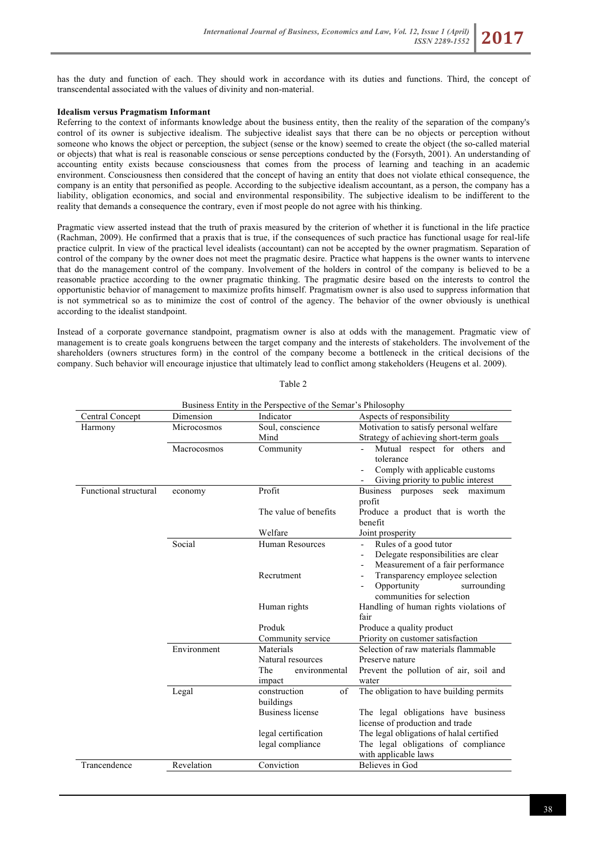has the duty and function of each. They should work in accordance with its duties and functions. Third, the concept of transcendental associated with the values of divinity and non-material.

#### **Idealism versus Pragmatism Informant**

Referring to the context of informants knowledge about the business entity, then the reality of the separation of the company's control of its owner is subjective idealism. The subjective idealist says that there can be no objects or perception without someone who knows the object or perception, the subject (sense or the know) seemed to create the object (the so-called material or objects) that what is real is reasonable conscious or sense perceptions conducted by the (Forsyth, 2001). An understanding of accounting entity exists because consciousness that comes from the process of learning and teaching in an academic environment. Consciousness then considered that the concept of having an entity that does not violate ethical consequence, the company is an entity that personified as people. According to the subjective idealism accountant, as a person, the company has a liability, obligation economics, and social and environmental responsibility. The subjective idealism to be indifferent to the reality that demands a consequence the contrary, even if most people do not agree with his thinking.

Pragmatic view asserted instead that the truth of praxis measured by the criterion of whether it is functional in the life practice (Rachman, 2009). He confirmed that a praxis that is true, if the consequences of such practice has functional usage for real-life practice culprit. In view of the practical level idealists (accountant) can not be accepted by the owner pragmatism. Separation of control of the company by the owner does not meet the pragmatic desire. Practice what happens is the owner wants to intervene that do the management control of the company. Involvement of the holders in control of the company is believed to be a reasonable practice according to the owner pragmatic thinking. The pragmatic desire based on the interests to control the opportunistic behavior of management to maximize profits himself. Pragmatism owner is also used to suppress information that is not symmetrical so as to minimize the cost of control of the agency. The behavior of the owner obviously is unethical according to the idealist standpoint.

Instead of a corporate governance standpoint, pragmatism owner is also at odds with the management. Pragmatic view of management is to create goals kongruens between the target company and the interests of stakeholders. The involvement of the shareholders (owners structures form) in the control of the company become a bottleneck in the critical decisions of the company. Such behavior will encourage injustice that ultimately lead to conflict among stakeholders (Heugens et al. 2009).

| Business Entity in the Perspective of the Semar's Philosophy |             |                         |                                          |  |
|--------------------------------------------------------------|-------------|-------------------------|------------------------------------------|--|
| Central Concept                                              | Dimension   | Indicator               | Aspects of responsibility                |  |
| Harmony                                                      | Microcosmos | Soul, conscience        | Motivation to satisfy personal welfare   |  |
|                                                              |             | Mind                    | Strategy of achieving short-term goals   |  |
|                                                              | Macrocosmos | Community               | Mutual respect for others and            |  |
|                                                              |             |                         | tolerance                                |  |
|                                                              |             |                         | Comply with applicable customs           |  |
|                                                              |             |                         | Giving priority to public interest       |  |
| Functional structural                                        | economy     | Profit                  | <b>Business</b><br>purposes seek maximum |  |
|                                                              |             |                         | profit                                   |  |
|                                                              |             | The value of benefits   | Produce a product that is worth the      |  |
|                                                              |             |                         | benefit                                  |  |
|                                                              |             | Welfare                 | Joint prosperity                         |  |
|                                                              | Social      | <b>Human Resources</b>  | Rules of a good tutor                    |  |
|                                                              |             |                         | Delegate responsibilities are clear      |  |
|                                                              |             |                         | Measurement of a fair performance        |  |
|                                                              |             | Recrutment              | Transparency employee selection          |  |
|                                                              |             |                         | Opportunity<br>surrounding               |  |
|                                                              |             |                         | communities for selection                |  |
|                                                              |             | Human rights            | Handling of human rights violations of   |  |
|                                                              |             |                         | fair                                     |  |
|                                                              |             | Produk                  | Produce a quality product                |  |
|                                                              |             | Community service       | Priority on customer satisfaction        |  |
|                                                              | Environment | Materials               | Selection of raw materials flammable     |  |
|                                                              |             | Natural resources       | Preserve nature                          |  |
|                                                              |             | The<br>environmental    | Prevent the pollution of air, soil and   |  |
|                                                              |             | impact                  | water                                    |  |
|                                                              | Legal       | construction<br>of      | The obligation to have building permits  |  |
|                                                              |             | buildings               |                                          |  |
|                                                              |             | <b>Business license</b> | The legal obligations have business      |  |
|                                                              |             |                         | license of production and trade          |  |
|                                                              |             | legal certification     | The legal obligations of halal certified |  |
|                                                              |             | legal compliance        | The legal obligations of compliance      |  |
|                                                              |             |                         | with applicable laws                     |  |
| Trancendence                                                 | Revelation  | Conviction              | Believes in God                          |  |

Table 2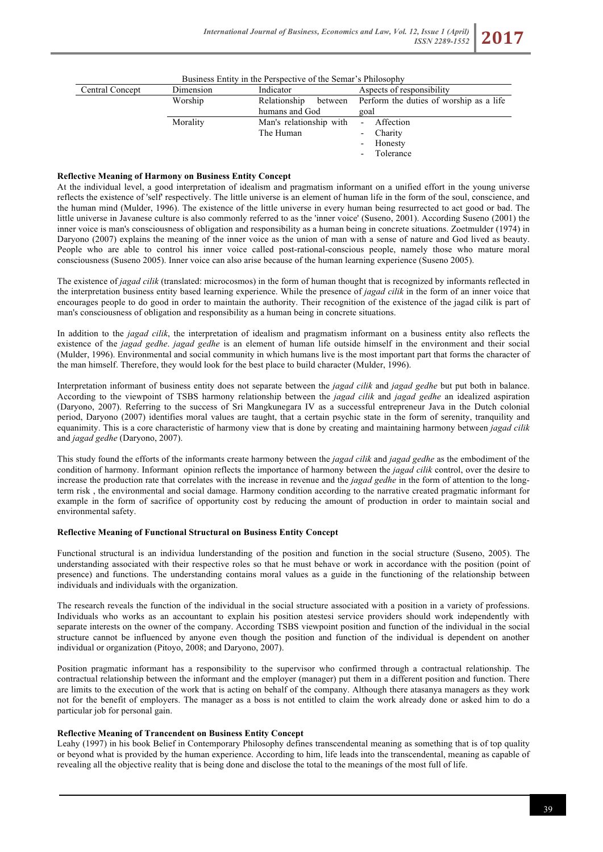| Business Entity in the Perspective of the Semar's Philosophy |           |                         |                                         |  |  |
|--------------------------------------------------------------|-----------|-------------------------|-----------------------------------------|--|--|
| Central Concept                                              | Dimension | Indicator               | Aspects of responsibility               |  |  |
|                                                              | Worship   | Relationship<br>between | Perform the duties of worship as a life |  |  |
|                                                              |           | humans and God          | goal                                    |  |  |
|                                                              | Morality  | Man's relationship with | Affection<br>$\sim$                     |  |  |
|                                                              |           | The Human               | Charity<br>$\overline{\phantom{0}}$     |  |  |
|                                                              |           |                         | - Honesty                               |  |  |
|                                                              |           |                         | Tolerance                               |  |  |

## **Reflective Meaning of Harmony on Business Entity Concept**

At the individual level, a good interpretation of idealism and pragmatism informant on a unified effort in the young universe reflects the existence of 'self' respectively. The little universe is an element of human life in the form of the soul, conscience, and the human mind (Mulder, 1996). The existence of the little universe in every human being resurrected to act good or bad. The little universe in Javanese culture is also commonly referred to as the 'inner voice' (Suseno, 2001). According Suseno (2001) the inner voice is man's consciousness of obligation and responsibility as a human being in concrete situations. Zoetmulder (1974) in Daryono (2007) explains the meaning of the inner voice as the union of man with a sense of nature and God lived as beauty. People who are able to control his inner voice called post-rational-conscious people, namely those who mature moral consciousness (Suseno 2005). Inner voice can also arise because of the human learning experience (Suseno 2005).

The existence of *jagad cilik* (translated: microcosmos) in the form of human thought that is recognized by informants reflected in the interpretation business entity based learning experience. While the presence of *jagad cilik* in the form of an inner voice that encourages people to do good in order to maintain the authority. Their recognition of the existence of the jagad cilik is part of man's consciousness of obligation and responsibility as a human being in concrete situations.

In addition to the *jagad cilik*, the interpretation of idealism and pragmatism informant on a business entity also reflects the existence of the *jagad gedhe*. *jagad gedhe* is an element of human life outside himself in the environment and their social (Mulder, 1996). Environmental and social community in which humans live is the most important part that forms the character of the man himself. Therefore, they would look for the best place to build character (Mulder, 1996).

Interpretation informant of business entity does not separate between the *jagad cilik* and *jagad gedhe* but put both in balance. According to the viewpoint of TSBS harmony relationship between the *jagad cilik* and *jagad gedhe* an idealized aspiration (Daryono, 2007). Referring to the success of Sri Mangkunegara IV as a successful entrepreneur Java in the Dutch colonial period, Daryono (2007) identifies moral values are taught, that a certain psychic state in the form of serenity, tranquility and equanimity. This is a core characteristic of harmony view that is done by creating and maintaining harmony between *jagad cilik* and *jagad gedhe* (Daryono, 2007).

This study found the efforts of the informants create harmony between the *jagad cilik* and *jagad gedhe* as the embodiment of the condition of harmony. Informant opinion reflects the importance of harmony between the *jagad cilik* control, over the desire to increase the production rate that correlates with the increase in revenue and the *jagad gedhe* in the form of attention to the longterm risk , the environmental and social damage. Harmony condition according to the narrative created pragmatic informant for example in the form of sacrifice of opportunity cost by reducing the amount of production in order to maintain social and environmental safety.

#### **Reflective Meaning of Functional Structural on Business Entity Concept**

Functional structural is an individua lunderstanding of the position and function in the social structure (Suseno, 2005). The understanding associated with their respective roles so that he must behave or work in accordance with the position (point of presence) and functions. The understanding contains moral values as a guide in the functioning of the relationship between individuals and individuals with the organization.

The research reveals the function of the individual in the social structure associated with a position in a variety of professions. Individuals who works as an accountant to explain his position atestesi service providers should work independently with separate interests on the owner of the company. According TSBS viewpoint position and function of the individual in the social structure cannot be influenced by anyone even though the position and function of the individual is dependent on another individual or organization (Pitoyo, 2008; and Daryono, 2007).

Position pragmatic informant has a responsibility to the supervisor who confirmed through a contractual relationship. The contractual relationship between the informant and the employer (manager) put them in a different position and function. There are limits to the execution of the work that is acting on behalf of the company. Although there atasanya managers as they work not for the benefit of employers. The manager as a boss is not entitled to claim the work already done or asked him to do a particular job for personal gain.

#### **Reflective Meaning of Trancendent on Business Entity Concept**

Leahy (1997) in his book Belief in Contemporary Philosophy defines transcendental meaning as something that is of top quality or beyond what is provided by the human experience. According to him, life leads into the transcendental, meaning as capable of revealing all the objective reality that is being done and disclose the total to the meanings of the most full of life.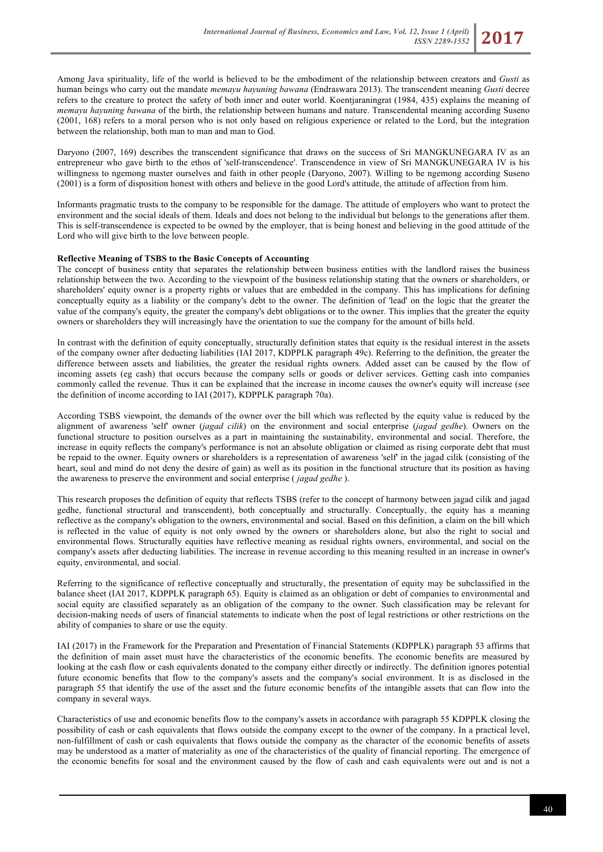Among Java spirituality, life of the world is believed to be the embodiment of the relationship between creators and *Gusti* as human beings who carry out the mandate *memayu hayuning bawana* (Endraswara 2013). The transcendent meaning *Gusti* decree refers to the creature to protect the safety of both inner and outer world. Koentjaraningrat (1984, 435) explains the meaning of *memayu hayuning bawana* of the birth, the relationship between humans and nature. Transcendental meaning according Suseno (2001, 168) refers to a moral person who is not only based on religious experience or related to the Lord, but the integration between the relationship, both man to man and man to God.

Daryono (2007, 169) describes the transcendent significance that draws on the success of Sri MANGKUNEGARA IV as an entrepreneur who gave birth to the ethos of 'self-transcendence'. Transcendence in view of Sri MANGKUNEGARA IV is his willingness to ngemong master ourselves and faith in other people (Daryono, 2007). Willing to be ngemong according Suseno (2001) is a form of disposition honest with others and believe in the good Lord's attitude, the attitude of affection from him.

Informants pragmatic trusts to the company to be responsible for the damage. The attitude of employers who want to protect the environment and the social ideals of them. Ideals and does not belong to the individual but belongs to the generations after them. This is self-transcendence is expected to be owned by the employer, that is being honest and believing in the good attitude of the Lord who will give birth to the love between people.

## **Reflective Meaning of TSBS to the Basic Concepts of Accounting**

The concept of business entity that separates the relationship between business entities with the landlord raises the business relationship between the two. According to the viewpoint of the business relationship stating that the owners or shareholders, or shareholders' equity owner is a property rights or values that are embedded in the company. This has implications for defining conceptually equity as a liability or the company's debt to the owner. The definition of 'lead' on the logic that the greater the value of the company's equity, the greater the company's debt obligations or to the owner. This implies that the greater the equity owners or shareholders they will increasingly have the orientation to sue the company for the amount of bills held.

In contrast with the definition of equity conceptually, structurally definition states that equity is the residual interest in the assets of the company owner after deducting liabilities (IAI 2017, KDPPLK paragraph 49c). Referring to the definition, the greater the difference between assets and liabilities, the greater the residual rights owners. Added asset can be caused by the flow of incoming assets (eg cash) that occurs because the company sells or goods or deliver services. Getting cash into companies commonly called the revenue. Thus it can be explained that the increase in income causes the owner's equity will increase (see the definition of income according to IAI (2017), KDPPLK paragraph 70a).

According TSBS viewpoint, the demands of the owner over the bill which was reflected by the equity value is reduced by the alignment of awareness 'self' owner (*jagad cilik*) on the environment and social enterprise (*jagad gedhe*). Owners on the functional structure to position ourselves as a part in maintaining the sustainability, environmental and social. Therefore, the increase in equity reflects the company's performance is not an absolute obligation or claimed as rising corporate debt that must be repaid to the owner. Equity owners or shareholders is a representation of awareness 'self' in the jagad cilik (consisting of the heart, soul and mind do not deny the desire of gain) as well as its position in the functional structure that its position as having the awareness to preserve the environment and social enterprise ( *jagad gedhe* ).

This research proposes the definition of equity that reflects TSBS (refer to the concept of harmony between jagad cilik and jagad gedhe, functional structural and transcendent), both conceptually and structurally. Conceptually, the equity has a meaning reflective as the company's obligation to the owners, environmental and social. Based on this definition, a claim on the bill which is reflected in the value of equity is not only owned by the owners or shareholders alone, but also the right to social and environmental flows. Structurally equities have reflective meaning as residual rights owners, environmental, and social on the company's assets after deducting liabilities. The increase in revenue according to this meaning resulted in an increase in owner's equity, environmental, and social.

Referring to the significance of reflective conceptually and structurally, the presentation of equity may be subclassified in the balance sheet (IAI 2017, KDPPLK paragraph 65). Equity is claimed as an obligation or debt of companies to environmental and social equity are classified separately as an obligation of the company to the owner. Such classification may be relevant for decision-making needs of users of financial statements to indicate when the post of legal restrictions or other restrictions on the ability of companies to share or use the equity.

IAI (2017) in the Framework for the Preparation and Presentation of Financial Statements (KDPPLK) paragraph 53 affirms that the definition of main asset must have the characteristics of the economic benefits. The economic benefits are measured by looking at the cash flow or cash equivalents donated to the company either directly or indirectly. The definition ignores potential future economic benefits that flow to the company's assets and the company's social environment. It is as disclosed in the paragraph 55 that identify the use of the asset and the future economic benefits of the intangible assets that can flow into the company in several ways.

Characteristics of use and economic benefits flow to the company's assets in accordance with paragraph 55 KDPPLK closing the possibility of cash or cash equivalents that flows outside the company except to the owner of the company. In a practical level, non-fulfillment of cash or cash equivalents that flows outside the company as the character of the economic benefits of assets may be understood as a matter of materiality as one of the characteristics of the quality of financial reporting. The emergence of the economic benefits for sosal and the environment caused by the flow of cash and cash equivalents were out and is not a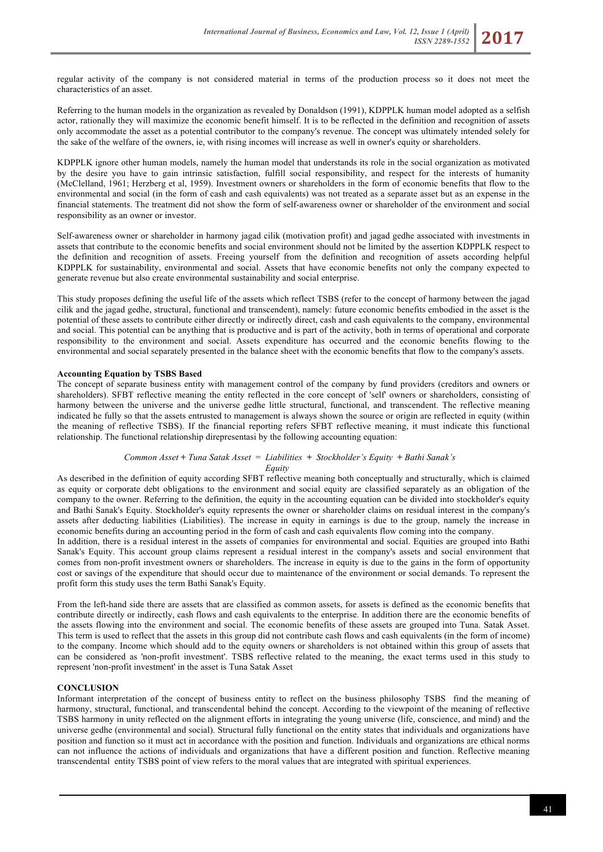regular activity of the company is not considered material in terms of the production process so it does not meet the characteristics of an asset.

Referring to the human models in the organization as revealed by Donaldson (1991), KDPPLK human model adopted as a selfish actor, rationally they will maximize the economic benefit himself. It is to be reflected in the definition and recognition of assets only accommodate the asset as a potential contributor to the company's revenue. The concept was ultimately intended solely for the sake of the welfare of the owners, ie, with rising incomes will increase as well in owner's equity or shareholders.

KDPPLK ignore other human models, namely the human model that understands its role in the social organization as motivated by the desire you have to gain intrinsic satisfaction, fulfill social responsibility, and respect for the interests of humanity (McClelland, 1961; Herzberg et al, 1959). Investment owners or shareholders in the form of economic benefits that flow to the environmental and social (in the form of cash and cash equivalents) was not treated as a separate asset but as an expense in the financial statements. The treatment did not show the form of self-awareness owner or shareholder of the environment and social responsibility as an owner or investor.

Self-awareness owner or shareholder in harmony jagad cilik (motivation profit) and jagad gedhe associated with investments in assets that contribute to the economic benefits and social environment should not be limited by the assertion KDPPLK respect to the definition and recognition of assets. Freeing yourself from the definition and recognition of assets according helpful KDPPLK for sustainability, environmental and social. Assets that have economic benefits not only the company expected to generate revenue but also create environmental sustainability and social enterprise.

This study proposes defining the useful life of the assets which reflect TSBS (refer to the concept of harmony between the jagad cilik and the jagad gedhe, structural, functional and transcendent), namely: future economic benefits embodied in the asset is the potential of these assets to contribute either directly or indirectly direct, cash and cash equivalents to the company, environmental and social. This potential can be anything that is productive and is part of the activity, both in terms of operational and corporate responsibility to the environment and social. Assets expenditure has occurred and the economic benefits flowing to the environmental and social separately presented in the balance sheet with the economic benefits that flow to the company's assets.

# **Accounting Equation by TSBS Based**

The concept of separate business entity with management control of the company by fund providers (creditors and owners or shareholders). SFBT reflective meaning the entity reflected in the core concept of 'self' owners or shareholders, consisting of harmony between the universe and the universe gedhe little structural, functional, and transcendent. The reflective meaning indicated he fully so that the assets entrusted to management is always shown the source or origin are reflected in equity (within the meaning of reflective TSBS). If the financial reporting refers SFBT reflective meaning, it must indicate this functional relationship. The functional relationship direpresentasi by the following accounting equation:

## *Common Asset* **+** *Tuna Satak Asset* = *Liabilities* **+** *Stockholder's Equity* **+** *Bathi Sanak's Equity*

As described in the definition of equity according SFBT reflective meaning both conceptually and structurally, which is claimed as equity or corporate debt obligations to the environment and social equity are classified separately as an obligation of the company to the owner. Referring to the definition, the equity in the accounting equation can be divided into stockholder's equity and Bathi Sanak's Equity. Stockholder's equity represents the owner or shareholder claims on residual interest in the company's assets after deducting liabilities (Liabilities). The increase in equity in earnings is due to the group, namely the increase in economic benefits during an accounting period in the form of cash and cash equivalents flow coming into the company.

In addition, there is a residual interest in the assets of companies for environmental and social. Equities are grouped into Bathi Sanak's Equity. This account group claims represent a residual interest in the company's assets and social environment that comes from non-profit investment owners or shareholders. The increase in equity is due to the gains in the form of opportunity cost or savings of the expenditure that should occur due to maintenance of the environment or social demands. To represent the profit form this study uses the term Bathi Sanak's Equity.

From the left-hand side there are assets that are classified as common assets, for assets is defined as the economic benefits that contribute directly or indirectly, cash flows and cash equivalents to the enterprise. In addition there are the economic benefits of the assets flowing into the environment and social. The economic benefits of these assets are grouped into Tuna. Satak Asset. This term is used to reflect that the assets in this group did not contribute cash flows and cash equivalents (in the form of income) to the company. Income which should add to the equity owners or shareholders is not obtained within this group of assets that can be considered as 'non-profit investment'. TSBS reflective related to the meaning, the exact terms used in this study to represent 'non-profit investment' in the asset is Tuna Satak Asset

## **CONCLUSION**

Informant interpretation of the concept of business entity to reflect on the business philosophy TSBS find the meaning of harmony, structural, functional, and transcendental behind the concept. According to the viewpoint of the meaning of reflective TSBS harmony in unity reflected on the alignment efforts in integrating the young universe (life, conscience, and mind) and the universe gedhe (environmental and social). Structural fully functional on the entity states that individuals and organizations have position and function so it must act in accordance with the position and function. Individuals and organizations are ethical norms can not influence the actions of individuals and organizations that have a different position and function. Reflective meaning transcendental entity TSBS point of view refers to the moral values that are integrated with spiritual experiences.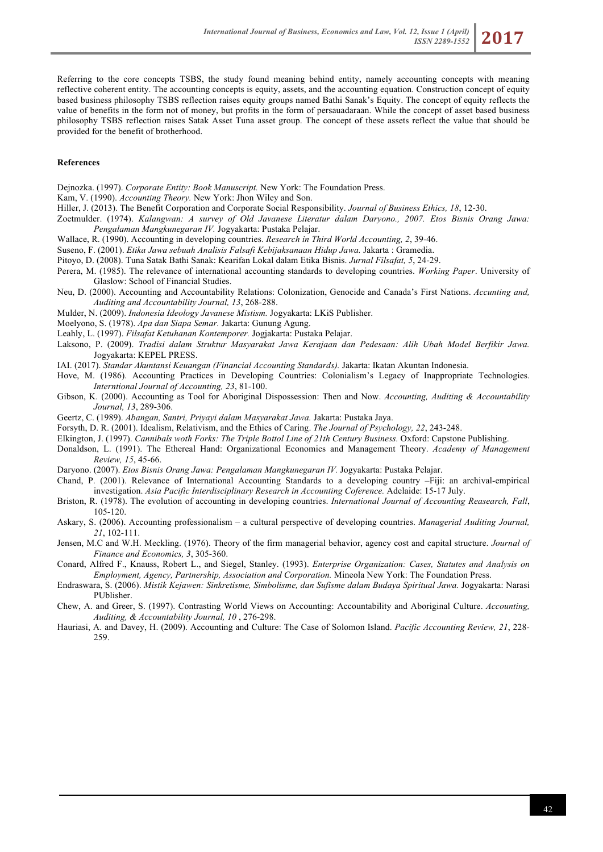Referring to the core concepts TSBS, the study found meaning behind entity, namely accounting concepts with meaning reflective coherent entity. The accounting concepts is equity, assets, and the accounting equation. Construction concept of equity based business philosophy TSBS reflection raises equity groups named Bathi Sanak's Equity. The concept of equity reflects the value of benefits in the form not of money, but profits in the form of persauadaraan. While the concept of asset based business philosophy TSBS reflection raises Satak Asset Tuna asset group. The concept of these assets reflect the value that should be provided for the benefit of brotherhood.

### **References**

Dejnozka. (1997). *Corporate Entity: Book Manuscript.* New York: The Foundation Press.

Kam, V. (1990). *Accounting Theory.* New York: Jhon Wiley and Son.

- Hiller, J. (2013). The Benefit Corporation and Corporate Social Responsibility. *Journal of Business Ethics, 18*, 12-30.
- Zoetmulder. (1974). *Kalangwan: A survey of Old Javanese Literatur dalam Daryono., 2007. Etos Bisnis Orang Jawa: Pengalaman Mangkunegaran IV.* Jogyakarta: Pustaka Pelajar.
- Wallace, R. (1990). Accounting in developing countries. *Research in Third World Accounting, 2*, 39-46.
- Suseno, F. (2001). *Etika Jawa sebuah Analisis Falsafi Kebijaksanaan Hidup Jawa.* Jakarta : Gramedia.
- Pitoyo, D. (2008). Tuna Satak Bathi Sanak: Kearifan Lokal dalam Etika Bisnis. *Jurnal Filsafat, 5*, 24-29.
- Perera, M. (1985). The relevance of international accounting standards to developing countries. *Working Paper*. University of Glaslow: School of Financial Studies.
- Neu, D. (2000). Accounting and Accountability Relations: Colonization, Genocide and Canada's First Nations. *Accunting and, Auditing and Accountability Journal, 13*, 268-288.
- Mulder, N. (2009). *Indonesia Ideology Javanese Mistism.* Jogyakarta: LKiS Publisher.
- Moelyono, S. (1978). *Apa dan Siapa Semar.* Jakarta: Gunung Agung.
- Leahly, L. (1997). *Filsafat Ketuhanan Kontemporer.* Jogjakarta: Pustaka Pelajar.
- Laksono, P. (2009). *Tradisi dalam Struktur Masyarakat Jawa Kerajaan dan Pedesaan: Alih Ubah Model Berfikir Jawa.* Jogyakarta: KEPEL PRESS.
- IAI. (2017). *Standar Akuntansi Keuangan (Financial Accounting Standards).* Jakarta: Ikatan Akuntan Indonesia.
- Hove, M. (1986). Accounting Practices in Developing Countries: Colonialism's Legacy of Inappropriate Technologies. *Interntional Journal of Accounting, 23*, 81-100.
- Gibson, K. (2000). Accounting as Tool for Aboriginal Dispossession: Then and Now. *Accounting, Auditing & Accountability Journal, 13*, 289-306.
- Geertz, C. (1989). *Abangan, Santri, Priyayi dalam Masyarakat Jawa.* Jakarta: Pustaka Jaya.
- Forsyth, D. R. (2001). Idealism, Relativism, and the Ethics of Caring. *The Journal of Psychology, 22*, 243-248.
- Elkington, J. (1997). *Cannibals woth Forks: The Triple Bottol Line of 21th Century Business.* Oxford: Capstone Publishing.
- Donaldson, L. (1991). The Ethereal Hand: Organizational Economics and Management Theory. *Academy of Management Review, 15*, 45-66.
- Daryono. (2007). *Etos Bisnis Orang Jawa: Pengalaman Mangkunegaran IV.* Jogyakarta: Pustaka Pelajar.
- Chand, P. (2001). Relevance of International Accounting Standards to a developing country –Fiji: an archival-empirical investigation. *Asia Pacific Interdisciplinary Research in Accounting Coference.* Adelaide: 15-17 July.
- Briston, R. (1978). The evolution of accounting in developing countries. *International Journal of Accounting Reasearch, Fall*, 105-120.
- Askary, S. (2006). Accounting professionalism a cultural perspective of developing countries. *Managerial Auditing Journal, 21*, 102-111.
- Jensen, M.C and W.H. Meckling. (1976). Theory of the firm managerial behavior, agency cost and capital structure. *Journal of Finance and Economics, 3*, 305-360.
- Conard, Alfred F., Knauss, Robert L., and Siegel, Stanley. (1993). *Enterprise Organization: Cases, Statutes and Analysis on Employment, Agency, Partnership, Association and Corporation.* Mineola New York: The Foundation Press.
- Endraswara, S. (2006). *Mistik Kejawen: Sinkretisme, Simbolisme, dan Sufisme dalam Budaya Spiritual Jawa.* Jogyakarta: Narasi PUblisher.
- Chew, A. and Greer, S. (1997). Contrasting World Views on Accounting: Accountability and Aboriginal Culture. *Accounting, Auditing, & Accountability Journal, 10* , 276-298.
- Hauriasi, A. and Davey, H. (2009). Accounting and Culture: The Case of Solomon Island. *Pacific Accounting Review, 21*, 228- 259.